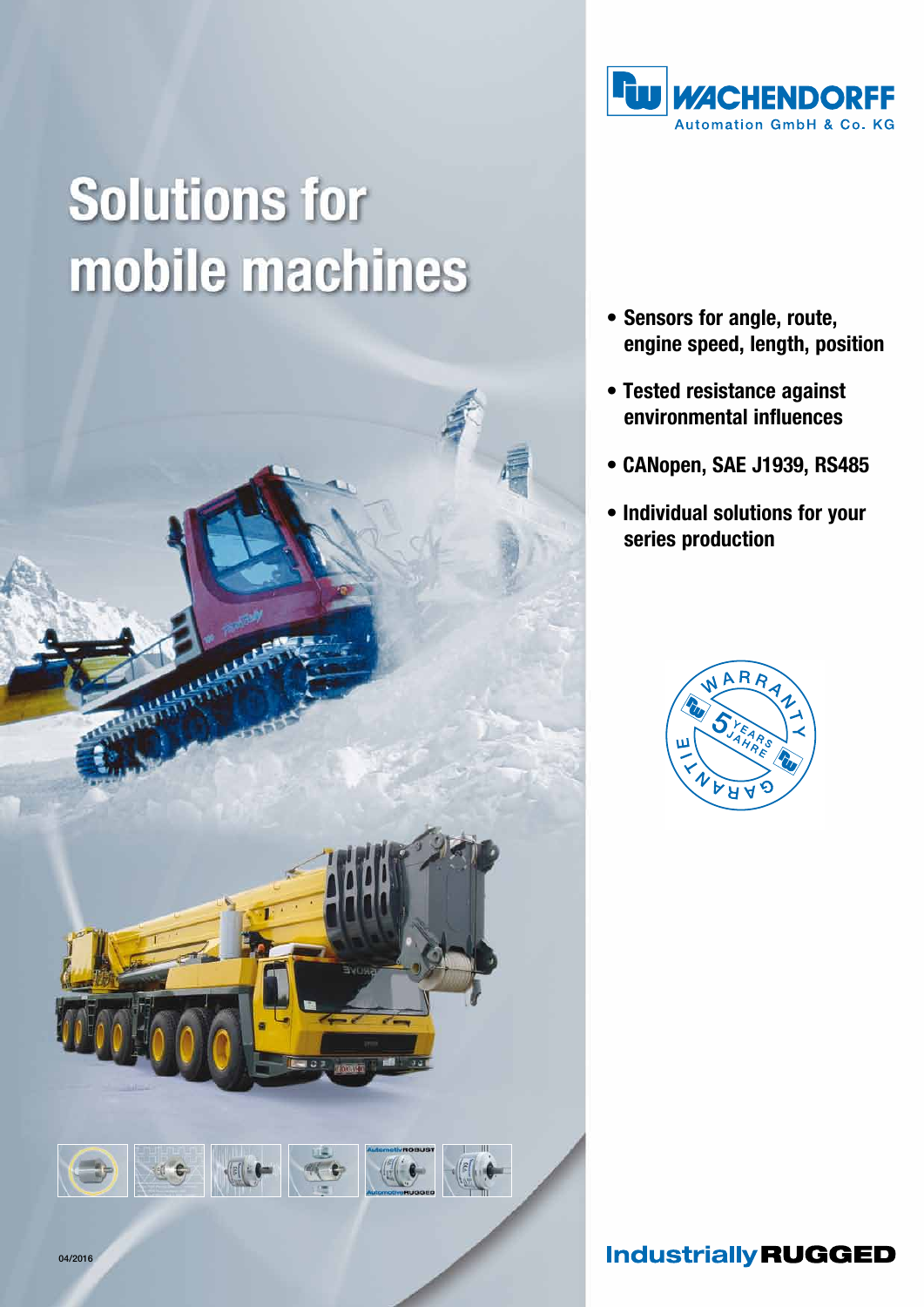

# **Solutions for** mobile machines



- • Sensors for angle, route, engine speed, length, position
- Tested resistance against environmental influences
- CANopen, SAE J1939, RS485
- Individual solutions for your series production



**Industrially RUGGED**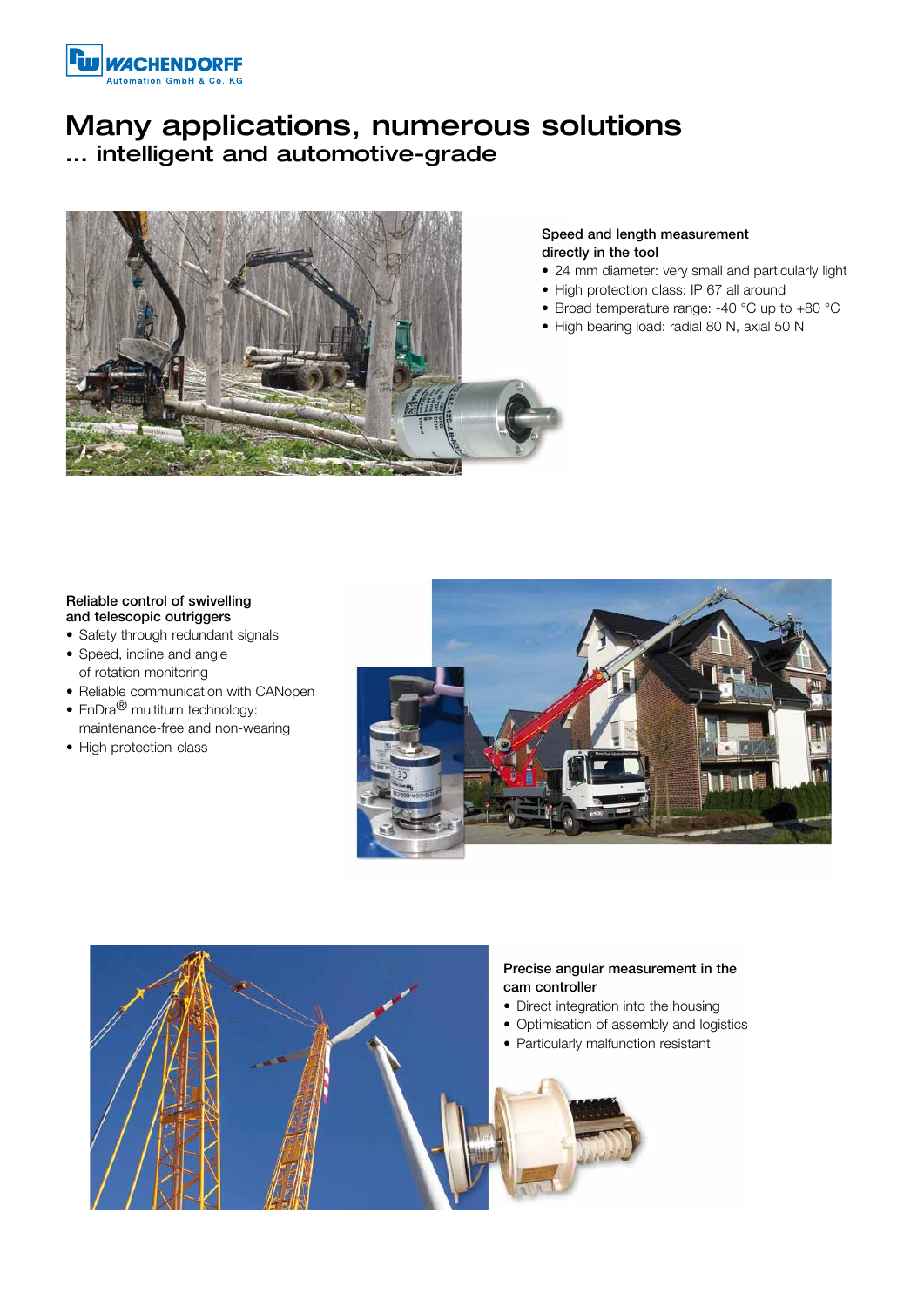

## Many applications, numerous solutions ... intelligent and automotive-grade



#### Speed and length measurement directly in the tool

- 24 mm diameter: very small and particularly light
- High protection class: IP 67 all around
- Broad temperature range: -40  $^{\circ}$ C up to +80  $^{\circ}$ C
- High bearing load: radial 80 N, axial 50 N

#### Reliable control of swivelling and telescopic outriggers

- Safety through redundant signals
- Speed, incline and angle of rotation monitoring
- Reliable communication with CANopen
- $En Dra^{\circledR}$  multiturn technology: maintenance-free and non-wearing
- High protection-class



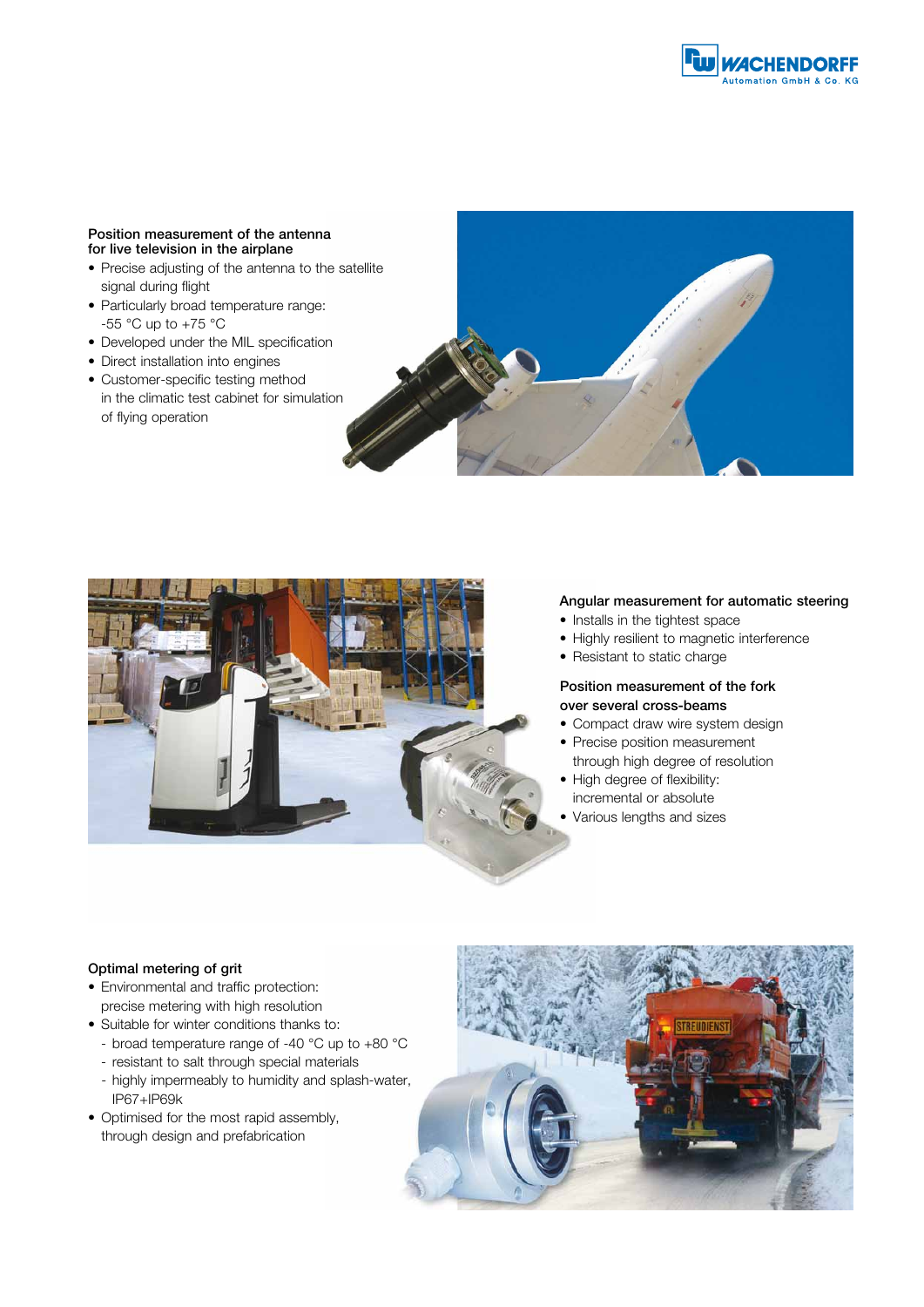#### Position measurement of the antenna for live television in the airplane

- Precise adjusting of the antenna to the satellite signal during flight
- Particularly broad temperature range: -55 °C up to +75 °C
- Developed under the MIL specification
- Direct installation into engines
- Customer-specific testing method in the climatic test cabinet for simulation of flying operation





#### Angular measurement for automatic steering

- Installs in the tightest space
- Highly resilient to magnetic interference
- Resistant to static charge

#### Position measurement of the fork over several cross-beams

- Compact draw wire system design
- Precise position measurement through high degree of resolution
- High degree of flexibility: incremental or absolute
- Various lengths and sizes

#### Optimal metering of grit

- • Environmental and traffic protection: precise metering with high resolution
- Suitable for winter conditions thanks to:
	- broad temperature range of -40 °C up to +80 °C
	- resistant to salt through special materials
	- highly impermeably to humidity and splash-water, IP67+IP69k
- Optimised for the most rapid assembly, through design and prefabrication